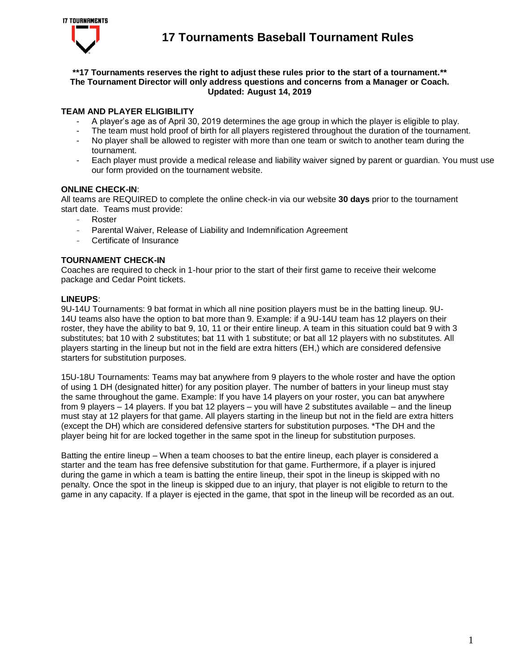

### **\*\*17 Tournaments reserves the right to adjust these rules prior to the start of a tournament.\*\* The Tournament Director will only address questions and concerns from a Manager or Coach. Updated: August 14, 2019**

## **TEAM AND PLAYER ELIGIBILITY**

- A player's age as of April 30, 2019 determines the age group in which the player is eligible to play.
- The team must hold proof of birth for all players registered throughout the duration of the tournament.
- No player shall be allowed to register with more than one team or switch to another team during the tournament.
- Each player must provide a medical release and liability waiver signed by parent or quardian. You must use our form provided on the tournament website.

### **ONLINE CHECK-IN**:

All teams are REQUIRED to complete the online check-in via our website **30 days** prior to the tournament start date. Teams must provide:

- **Roster**
- Parental Waiver, Release of Liability and Indemnification Agreement
- Certificate of Insurance

## **TOURNAMENT CHECK-IN**

Coaches are required to check in 1-hour prior to the start of their first game to receive their welcome package and Cedar Point tickets.

### **LINEUPS**:

9U-14U Tournaments: 9 bat format in which all nine position players must be in the batting lineup. 9U-14U teams also have the option to bat more than 9. Example: if a 9U-14U team has 12 players on their roster, they have the ability to bat 9, 10, 11 or their entire lineup. A team in this situation could bat 9 with 3 substitutes; bat 10 with 2 substitutes; bat 11 with 1 substitute; or bat all 12 players with no substitutes. All players starting in the lineup but not in the field are extra hitters (EH,) which are considered defensive starters for substitution purposes.

15U-18U Tournaments: Teams may bat anywhere from 9 players to the whole roster and have the option of using 1 DH (designated hitter) for any position player. The number of batters in your lineup must stay the same throughout the game. Example: If you have 14 players on your roster, you can bat anywhere from 9 players – 14 players. If you bat 12 players – you will have 2 substitutes available – and the lineup must stay at 12 players for that game. All players starting in the lineup but not in the field are extra hitters (except the DH) which are considered defensive starters for substitution purposes. \*The DH and the player being hit for are locked together in the same spot in the lineup for substitution purposes.

Batting the entire lineup – When a team chooses to bat the entire lineup, each player is considered a starter and the team has free defensive substitution for that game. Furthermore, if a player is injured during the game in which a team is batting the entire lineup, their spot in the lineup is skipped with no penalty. Once the spot in the lineup is skipped due to an injury, that player is not eligible to return to the game in any capacity. If a player is ejected in the game, that spot in the lineup will be recorded as an out.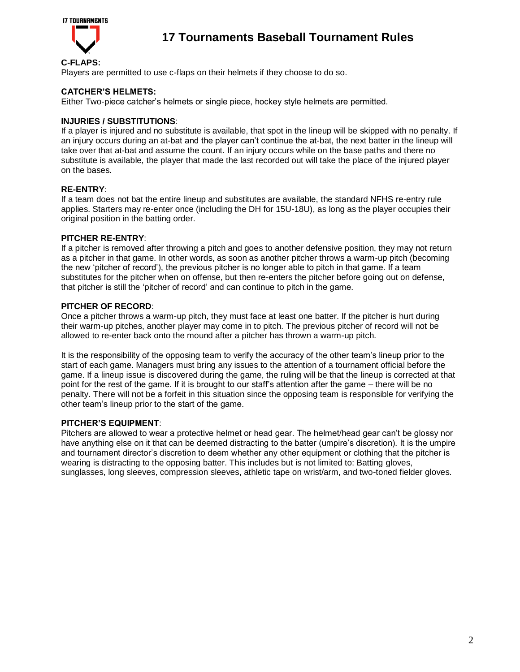

## **C-FLAPS:**

Players are permitted to use c-flaps on their helmets if they choose to do so.

### **CATCHER'S HELMETS:**

Either Two-piece catcher's helmets or single piece, hockey style helmets are permitted.

### **INJURIES / SUBSTITUTIONS**:

If a player is injured and no substitute is available, that spot in the lineup will be skipped with no penalty. If an injury occurs during an at-bat and the player can't continue the at-bat, the next batter in the lineup will take over that at-bat and assume the count. If an injury occurs while on the base paths and there no substitute is available, the player that made the last recorded out will take the place of the injured player on the bases.

### **RE-ENTRY**:

If a team does not bat the entire lineup and substitutes are available, the standard NFHS re-entry rule applies. Starters may re-enter once (including the DH for 15U-18U), as long as the player occupies their original position in the batting order.

### **PITCHER RE-ENTRY**:

If a pitcher is removed after throwing a pitch and goes to another defensive position, they may not return as a pitcher in that game. In other words, as soon as another pitcher throws a warm-up pitch (becoming the new 'pitcher of record'), the previous pitcher is no longer able to pitch in that game. If a team substitutes for the pitcher when on offense, but then re-enters the pitcher before going out on defense, that pitcher is still the 'pitcher of record' and can continue to pitch in the game.

### **PITCHER OF RECORD**:

Once a pitcher throws a warm-up pitch, they must face at least one batter. If the pitcher is hurt during their warm-up pitches, another player may come in to pitch. The previous pitcher of record will not be allowed to re-enter back onto the mound after a pitcher has thrown a warm-up pitch.

It is the responsibility of the opposing team to verify the accuracy of the other team's lineup prior to the start of each game. Managers must bring any issues to the attention of a tournament official before the game. If a lineup issue is discovered during the game, the ruling will be that the lineup is corrected at that point for the rest of the game. If it is brought to our staff's attention after the game – there will be no penalty. There will not be a forfeit in this situation since the opposing team is responsible for verifying the other team's lineup prior to the start of the game.

#### **PITCHER'S EQUIPMENT**:

Pitchers are allowed to wear a protective helmet or head gear. The helmet/head gear can't be glossy nor have anything else on it that can be deemed distracting to the batter (umpire's discretion). It is the umpire and tournament director's discretion to deem whether any other equipment or clothing that the pitcher is wearing is distracting to the opposing batter. This includes but is not limited to: Batting gloves, sunglasses, long sleeves, compression sleeves, athletic tape on wrist/arm, and two-toned fielder gloves.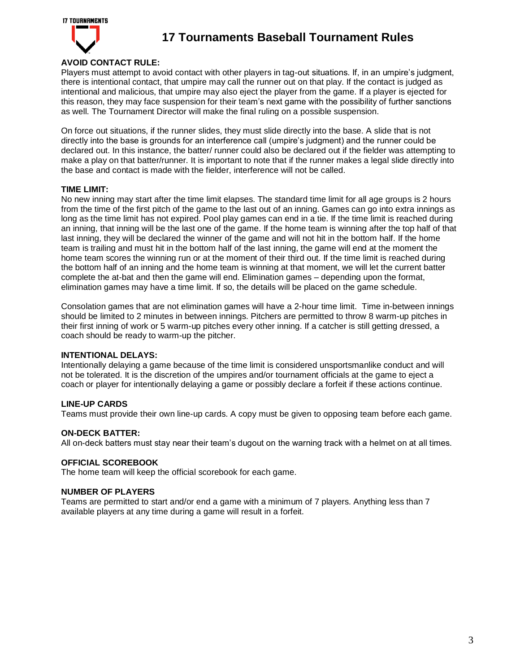

## **AVOID CONTACT RULE:**

Players must attempt to avoid contact with other players in tag-out situations. If, in an umpire's judgment, there is intentional contact, that umpire may call the runner out on that play. If the contact is judged as intentional and malicious, that umpire may also eject the player from the game. If a player is ejected for this reason, they may face suspension for their team's next game with the possibility of further sanctions as well. The Tournament Director will make the final ruling on a possible suspension.

On force out situations, if the runner slides, they must slide directly into the base. A slide that is not directly into the base is grounds for an interference call (umpire's judgment) and the runner could be declared out. In this instance, the batter/ runner could also be declared out if the fielder was attempting to make a play on that batter/runner. It is important to note that if the runner makes a legal slide directly into the base and contact is made with the fielder, interference will not be called.

### **TIME LIMIT:**

No new inning may start after the time limit elapses. The standard time limit for all age groups is 2 hours from the time of the first pitch of the game to the last out of an inning. Games can go into extra innings as long as the time limit has not expired. Pool play games can end in a tie. If the time limit is reached during an inning, that inning will be the last one of the game. If the home team is winning after the top half of that last inning, they will be declared the winner of the game and will not hit in the bottom half. If the home team is trailing and must hit in the bottom half of the last inning, the game will end at the moment the home team scores the winning run or at the moment of their third out. If the time limit is reached during the bottom half of an inning and the home team is winning at that moment, we will let the current batter complete the at-bat and then the game will end. Elimination games – depending upon the format, elimination games may have a time limit. If so, the details will be placed on the game schedule.

Consolation games that are not elimination games will have a 2-hour time limit. Time in-between innings should be limited to 2 minutes in between innings. Pitchers are permitted to throw 8 warm-up pitches in their first inning of work or 5 warm-up pitches every other inning. If a catcher is still getting dressed, a coach should be ready to warm-up the pitcher.

#### **INTENTIONAL DELAYS:**

Intentionally delaying a game because of the time limit is considered unsportsmanlike conduct and will not be tolerated. It is the discretion of the umpires and/or tournament officials at the game to eject a coach or player for intentionally delaying a game or possibly declare a forfeit if these actions continue.

## **LINE-UP CARDS**

Teams must provide their own line-up cards. A copy must be given to opposing team before each game.

#### **ON-DECK BATTER:**

All on-deck batters must stay near their team's dugout on the warning track with a helmet on at all times.

#### **OFFICIAL SCOREBOOK**

The home team will keep the official scorebook for each game.

### **NUMBER OF PLAYERS**

Teams are permitted to start and/or end a game with a minimum of 7 players. Anything less than 7 available players at any time during a game will result in a forfeit.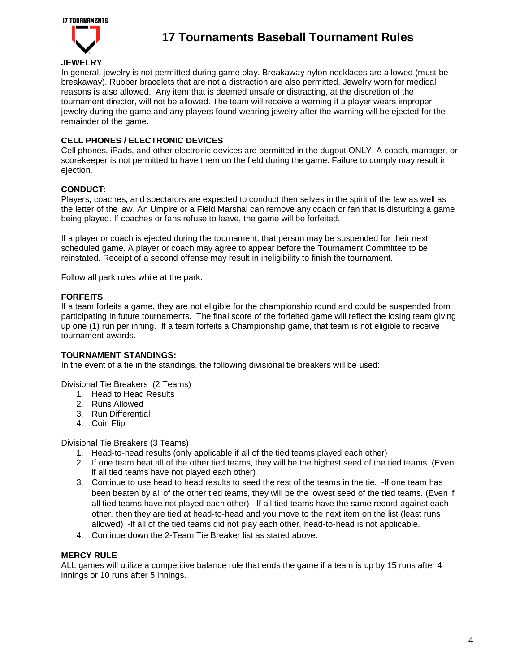

**JEWELRY**  In general, jewelry is not permitted during game play. Breakaway nylon necklaces are allowed (must be breakaway). Rubber bracelets that are not a distraction are also permitted. Jewelry worn for medical reasons is also allowed. Any item that is deemed unsafe or distracting, at the discretion of the tournament director, will not be allowed. The team will receive a warning if a player wears improper jewelry during the game and any players found wearing jewelry after the warning will be ejected for the remainder of the game.

## **CELL PHONES / ELECTRONIC DEVICES**

Cell phones, iPads, and other electronic devices are permitted in the dugout ONLY. A coach, manager, or scorekeeper is not permitted to have them on the field during the game. Failure to comply may result in ejection.

### **CONDUCT**:

Players, coaches, and spectators are expected to conduct themselves in the spirit of the law as well as the letter of the law. An Umpire or a Field Marshal can remove any coach or fan that is disturbing a game being played. If coaches or fans refuse to leave, the game will be forfeited.

If a player or coach is ejected during the tournament, that person may be suspended for their next scheduled game. A player or coach may agree to appear before the Tournament Committee to be reinstated. Receipt of a second offense may result in ineligibility to finish the tournament.

Follow all park rules while at the park.

#### **FORFEITS**:

If a team forfeits a game, they are not eligible for the championship round and could be suspended from participating in future tournaments. The final score of the forfeited game will reflect the losing team giving up one (1) run per inning. If a team forfeits a Championship game, that team is not eligible to receive tournament awards.

#### **TOURNAMENT STANDINGS:**

In the event of a tie in the standings, the following divisional tie breakers will be used:

#### Divisional Tie Breakers (2 Teams)

- 1. Head to Head Results
- 2. Runs Allowed
- 3. Run Differential
- 4. Coin Flip

Divisional Tie Breakers (3 Teams)

- 1. Head-to-head results (only applicable if all of the tied teams played each other)
- 2. If one team beat all of the other tied teams, they will be the highest seed of the tied teams. (Even if all tied teams have not played each other)
- 3. Continue to use head to head results to seed the rest of the teams in the tie. -If one team has been beaten by all of the other tied teams, they will be the lowest seed of the tied teams. (Even if all tied teams have not played each other) -If all tied teams have the same record against each other, then they are tied at head-to-head and you move to the next item on the list (least runs allowed) -If all of the tied teams did not play each other, head-to-head is not applicable.
- 4. Continue down the 2-Team Tie Breaker list as stated above.

#### **MERCY RULE**

ALL games will utilize a competitive balance rule that ends the game if a team is up by 15 runs after 4 innings or 10 runs after 5 innings.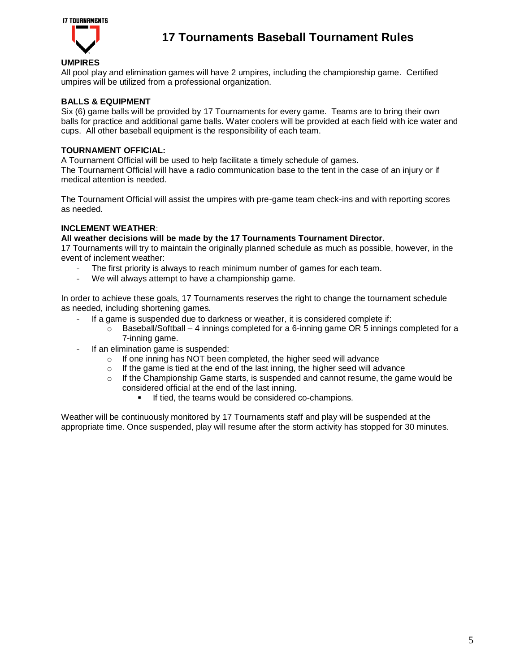

## **UMPIRES**

All pool play and elimination games will have 2 umpires, including the championship game. Certified umpires will be utilized from a professional organization.

### **BALLS & EQUIPMENT**

Six (6) game balls will be provided by 17 Tournaments for every game. Teams are to bring their own balls for practice and additional game balls. Water coolers will be provided at each field with ice water and cups. All other baseball equipment is the responsibility of each team.

### **TOURNAMENT OFFICIAL:**

A Tournament Official will be used to help facilitate a timely schedule of games.

The Tournament Official will have a radio communication base to the tent in the case of an injury or if medical attention is needed.

The Tournament Official will assist the umpires with pre-game team check-ins and with reporting scores as needed.

### **INCLEMENT WEATHER**:

#### **All weather decisions will be made by the 17 Tournaments Tournament Director.**

17 Tournaments will try to maintain the originally planned schedule as much as possible, however, in the event of inclement weather:

- The first priority is always to reach minimum number of games for each team.
- We will always attempt to have a championship game.

In order to achieve these goals, 17 Tournaments reserves the right to change the tournament schedule as needed, including shortening games.

- If a game is suspended due to darkness or weather, it is considered complete if:
	- $\circ$  Baseball/Softball 4 innings completed for a 6-inning game OR 5 innings completed for a 7-inning game.
- If an elimination game is suspended:
	- $\circ$  If one inning has NOT been completed, the higher seed will advance
	- $\circ$  If the game is tied at the end of the last inning, the higher seed will advance
	- $\circ$  If the Championship Game starts, is suspended and cannot resume, the game would be considered official at the end of the last inning.
		- If tied, the teams would be considered co-champions.

Weather will be continuously monitored by 17 Tournaments staff and play will be suspended at the appropriate time. Once suspended, play will resume after the storm activity has stopped for 30 minutes.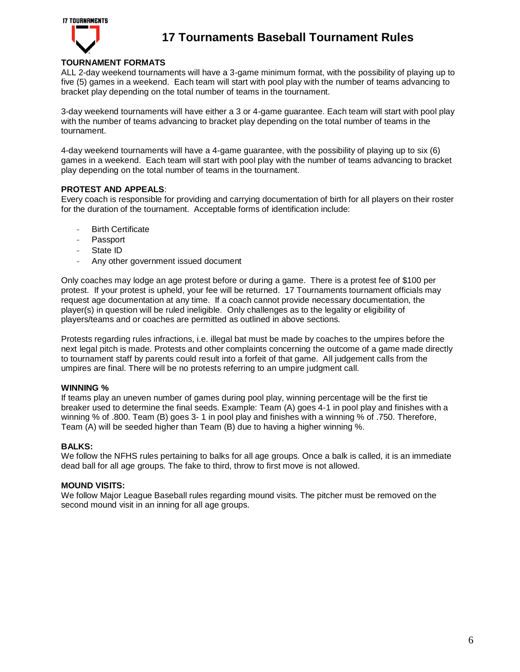

## **TOURNAMENT FORMATS**

ALL 2-day weekend tournaments will have a 3-game minimum format, with the possibility of playing up to five (5) games in a weekend. Each team will start with pool play with the number of teams advancing to bracket play depending on the total number of teams in the tournament.

3-day weekend tournaments will have either a 3 or 4-game guarantee. Each team will start with pool play with the number of teams advancing to bracket play depending on the total number of teams in the tournament.

4-day weekend tournaments will have a 4-game guarantee, with the possibility of playing up to six (6) games in a weekend. Each team will start with pool play with the number of teams advancing to bracket play depending on the total number of teams in the tournament.

### **PROTEST AND APPEALS**:

Every coach is responsible for providing and carrying documentation of birth for all players on their roster for the duration of the tournament. Acceptable forms of identification include:

- **Birth Certificate**
- Passport
- State ID
- Any other government issued document

Only coaches may lodge an age protest before or during a game. There is a protest fee of \$100 per protest. If your protest is upheld, your fee will be returned. 17 Tournaments tournament officials may request age documentation at any time. If a coach cannot provide necessary documentation, the player(s) in question will be ruled ineligible. Only challenges as to the legality or eligibility of players/teams and or coaches are permitted as outlined in above sections.

Protests regarding rules infractions, i.e. illegal bat must be made by coaches to the umpires before the next legal pitch is made. Protests and other complaints concerning the outcome of a game made directly to tournament staff by parents could result into a forfeit of that game. All judgement calls from the umpires are final. There will be no protests referring to an umpire judgment call.

#### **WINNING %**

If teams play an uneven number of games during pool play, winning percentage will be the first tie breaker used to determine the final seeds. Example: Team (A) goes 4-1 in pool play and finishes with a winning % of .800. Team (B) goes 3- 1 in pool play and finishes with a winning % of .750. Therefore, Team (A) will be seeded higher than Team (B) due to having a higher winning %.

#### **BALKS:**

We follow the NFHS rules pertaining to balks for all age groups. Once a balk is called, it is an immediate dead ball for all age groups. The fake to third, throw to first move is not allowed.

#### **MOUND VISITS:**

We follow Major League Baseball rules regarding mound visits. The pitcher must be removed on the second mound visit in an inning for all age groups.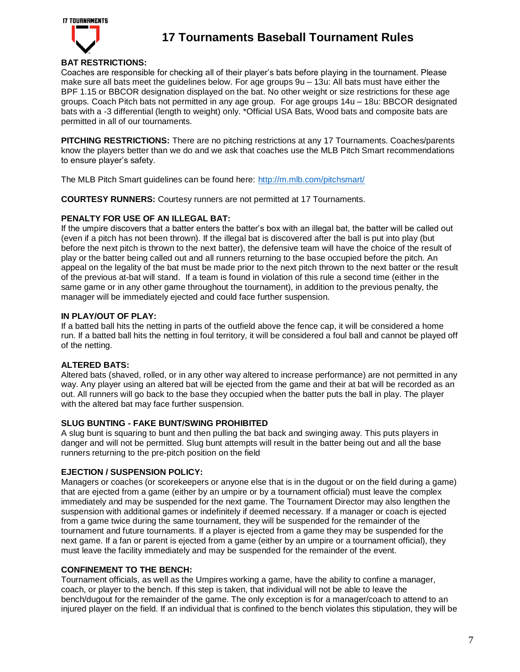

## **BAT RESTRICTIONS:**

Coaches are responsible for checking all of their player's bats before playing in the tournament. Please make sure all bats meet the guidelines below. For age groups 9u – 13u: All bats must have either the BPF 1.15 or BBCOR designation displayed on the bat. No other weight or size restrictions for these age groups. Coach Pitch bats not permitted in any age group. For age groups 14u – 18u: BBCOR designated bats with a -3 differential (length to weight) only. \*Official USA Bats, Wood bats and composite bats are permitted in all of our tournaments.

**PITCHING RESTRICTIONS:** There are no pitching restrictions at any 17 Tournaments. Coaches/parents know the players better than we do and we ask that coaches use the MLB Pitch Smart recommendations to ensure player's safety.

The MLB Pitch Smart guidelines can be found here: <http://m.mlb.com/pitchsmart/>

**COURTESY RUNNERS:** Courtesy runners are not permitted at 17 Tournaments.

### **PENALTY FOR USE OF AN ILLEGAL BAT:**

If the umpire discovers that a batter enters the batter's box with an illegal bat, the batter will be called out (even if a pitch has not been thrown). If the illegal bat is discovered after the ball is put into play (but before the next pitch is thrown to the next batter), the defensive team will have the choice of the result of play or the batter being called out and all runners returning to the base occupied before the pitch. An appeal on the legality of the bat must be made prior to the next pitch thrown to the next batter or the result of the previous at-bat will stand. If a team is found in violation of this rule a second time (either in the same game or in any other game throughout the tournament), in addition to the previous penalty, the manager will be immediately ejected and could face further suspension.

### **IN PLAY/OUT OF PLAY:**

If a batted ball hits the netting in parts of the outfield above the fence cap, it will be considered a home run. If a batted ball hits the netting in foul territory, it will be considered a foul ball and cannot be played off of the netting.

## **ALTERED BATS:**

Altered bats (shaved, rolled, or in any other way altered to increase performance) are not permitted in any way. Any player using an altered bat will be ejected from the game and their at bat will be recorded as an out. All runners will go back to the base they occupied when the batter puts the ball in play. The player with the altered bat may face further suspension.

#### **SLUG BUNTING - FAKE BUNT/SWING PROHIBITED**

A slug bunt is squaring to bunt and then pulling the bat back and swinging away. This puts players in danger and will not be permitted. Slug bunt attempts will result in the batter being out and all the base runners returning to the pre-pitch position on the field

#### **EJECTION / SUSPENSION POLICY:**

Managers or coaches (or scorekeepers or anyone else that is in the dugout or on the field during a game) that are ejected from a game (either by an umpire or by a tournament official) must leave the complex immediately and may be suspended for the next game. The Tournament Director may also lengthen the suspension with additional games or indefinitely if deemed necessary. If a manager or coach is ejected from a game twice during the same tournament, they will be suspended for the remainder of the tournament and future tournaments. If a player is ejected from a game they may be suspended for the next game. If a fan or parent is ejected from a game (either by an umpire or a tournament official), they must leave the facility immediately and may be suspended for the remainder of the event.

## **CONFINEMENT TO THE BENCH:**

Tournament officials, as well as the Umpires working a game, have the ability to confine a manager, coach, or player to the bench. If this step is taken, that individual will not be able to leave the bench/dugout for the remainder of the game. The only exception is for a manager/coach to attend to an injured player on the field. If an individual that is confined to the bench violates this stipulation, they will be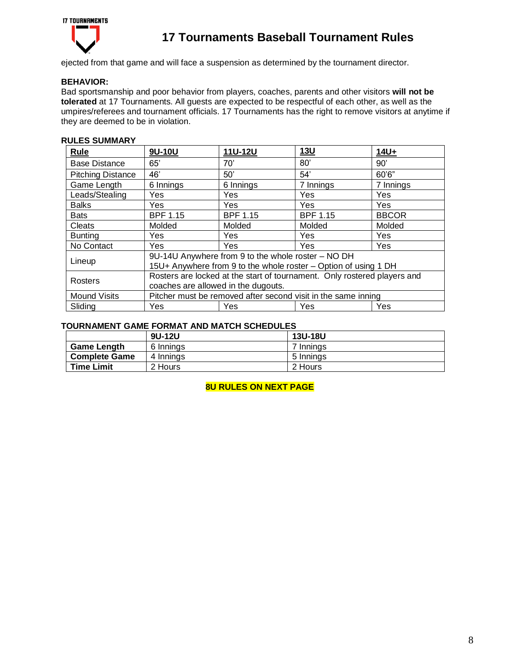

ejected from that game and will face a suspension as determined by the tournament director.

## **BEHAVIOR:**

Bad sportsmanship and poor behavior from players, coaches, parents and other visitors **will not be tolerated** at 17 Tournaments. All guests are expected to be respectful of each other, as well as the umpires/referees and tournament officials. 17 Tournaments has the right to remove visitors at anytime if they are deemed to be in violation.

## **RULES SUMMARY**

| Rule                     | 9U-10U                                                                                                                | 11U-12U         | 13U             | $14U+$       |
|--------------------------|-----------------------------------------------------------------------------------------------------------------------|-----------------|-----------------|--------------|
| <b>Base Distance</b>     | 65'                                                                                                                   | 70'             | 80'             | 90'          |
| <b>Pitching Distance</b> | 46'                                                                                                                   | 50'             | 54'             | 60'6"        |
| Game Length              | 6 Innings                                                                                                             | 6 Innings       | 7 Innings       | 7 Innings    |
| Leads/Stealing           | Yes                                                                                                                   | <b>Yes</b>      | Yes             | Yes          |
| <b>Balks</b>             | Yes                                                                                                                   | Yes             | <b>Yes</b>      | Yes          |
| <b>Bats</b>              | <b>BPF 1.15</b>                                                                                                       | <b>BPF 1.15</b> | <b>BPF 1.15</b> | <b>BBCOR</b> |
| Cleats                   | Molded                                                                                                                | Molded          | Molded          | Molded       |
| <b>Bunting</b>           | Yes                                                                                                                   | Yes             | Yes             | Yes          |
| No Contact               | Yes                                                                                                                   | Yes             | Yes             | <b>Yes</b>   |
| Lineup                   | 9U-14U Anywhere from 9 to the whole roster - NO DH<br>15U+ Anywhere from 9 to the whole roster - Option of using 1 DH |                 |                 |              |
| Rosters                  | Rosters are locked at the start of tournament. Only rostered players and                                              |                 |                 |              |
|                          | coaches are allowed in the dugouts.                                                                                   |                 |                 |              |
| <b>Mound Visits</b>      | Pitcher must be removed after second visit in the same inning                                                         |                 |                 |              |
| Sliding                  | Yes                                                                                                                   | Yes             | Yes             | Yes          |

#### **TOURNAMENT GAME FORMAT AND MATCH SCHEDULES**

|                      | 9U-12U    | <b>13U-18U</b> |
|----------------------|-----------|----------------|
| <b>Game Length</b>   | 6 Innings | 7 Innings      |
| <b>Complete Game</b> | 4 Innings | 5 Innings      |
| <b>Time Limit</b>    | 2 Hours   | 2 Hours        |

**8U RULES ON NEXT PAGE**